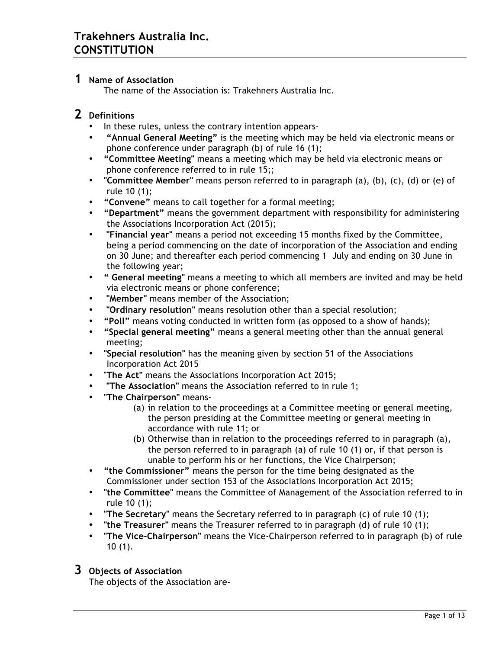#### **1 Name of Association**

The name of the Association is: Trakehners Australia Inc.

### **2 Definitions**

- In these rules, unless the contrary intention appears-
- • **"Annual General Meeting"** is the meeting which may be held via electronic means or phone conference under paragraph (b) of rule 16 (1);
- **"Committee Meeting"** means a meeting which may be held via electronic means or phone conference referred to in rule 15;;
- **"Committee Member"** means person referred to in paragraph (a), (b), (c), (d) or (e) of rule 10 (1);
- **"Convene"** means to call together for a formal meeting;
- **"Department"** means the government department with responsibility for administering the Associations Incorporation Act (2015);
- **"Financial year"** means a period not exceeding 15 months fixed by the Committee, being a period commencing on the date of incorporation of the Association and ending on 30 June; and thereafter each period commencing 1 July and ending on 30 June in the following year;
- **" General meeting"** means a meeting to which all members are invited and may be held via electronic means or phone conference;
- **"Member"** means member of the Association;
- **"Ordinary resolution"** means resolution other than a special resolution;
- **"Poll"** means voting conducted in written form (as opposed to a show of hands);
- **"Special general meeting"** means a general meeting other than the annual general meeting;
- **"Special resolution"** has the meaning given by section 51 of the Associations Incorporation Act 2015
- "**The Act"** means the Associations Incorporation Act 2015;
- **"The Association"** means the Association referred to in rule 1;
- **"The Chairperson"** means-
	- (a) in relation to the proceedings at a Committee meeting or general meeting, the person presiding at the Committee meeting or general meeting in accordance with rule 11; or
	- (b) Otherwise than in relation to the proceedings referred to in paragraph (a), the person referred to in paragraph (a) of rule 10 (1) or, if that person is unable to perform his or her functions, the Vice Chairperson;
- **"the Commissioner"** means the person for the time being designated as the Commissioner under section 153 of the Associations Incorporation Act 2015;
- **"the Committee"** means the Committee of Management of the Association referred to in rule 10 (1);
- **"The Secretary"** means the Secretary referred to in paragraph (c) of rule 10 (1);
- **"the Treasurer"** means the Treasurer referred to in paragraph (d) of rule 10 (1);
- **"The Vice-Chairperson"** means the Vice-Chairperson referred to in paragraph (b) of rule 10 (1).

### **3 Objects of Association**

The objects of the Association are-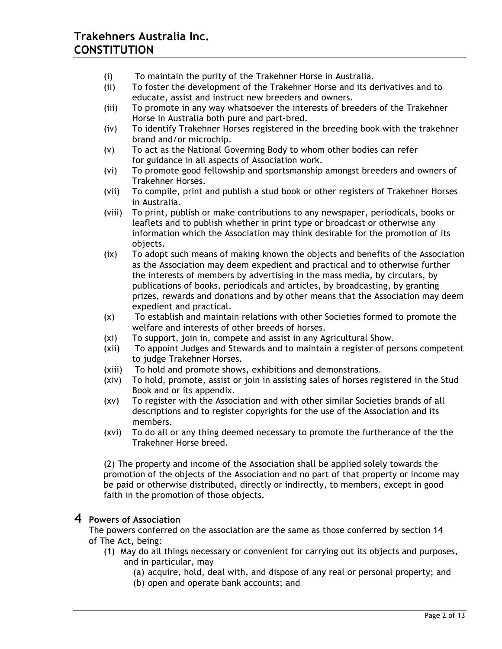- (i) To maintain the purity of the Trakehner Horse in Australia.
- (ii) To foster the development of the Trakehner Horse and its derivatives and to educate, assist and instruct new breeders and owners.
- (iii) To promote in any way whatsoever the interests of breeders of the Trakehner Horse in Australia both pure and part-bred.
- (iv) To identify Trakehner Horses registered in the breeding book with the trakehner brand and/or microchip.
- (v) To act as the National Governing Body to whom other bodies can refer for guidance in all aspects of Association work.
- (vi) To promote good fellowship and sportsmanship amongst breeders and owners of Trakehner Horses.
- (vii) To compile, print and publish a stud book or other registers of Trakehner Horses in Australia.
- (viii) To print, publish or make contributions to any newspaper, periodicals, books or leaflets and to publish whether in print type or broadcast or otherwise any information which the Association may think desirable for the promotion of its objects.
- (ix) To adopt such means of making known the objects and benefits of the Association as the Association may deem expedient and practical and to otherwise further the interests of members by advertising in the mass media, by circulars, by publications of books, periodicals and articles, by broadcasting, by granting prizes, rewards and donations and by other means that the Association may deem expedient and practical.
- (x) To establish and maintain relations with other Societies formed to promote the welfare and interests of other breeds of horses.
- (xi) To support, join in, compete and assist in any Agricultural Show.
- (xii) To appoint Judges and Stewards and to maintain a register of persons competent to judge Trakehner Horses.
- (xiii) To hold and promote shows, exhibitions and demonstrations.
- (xiv) To hold, promote, assist or join in assisting sales of horses registered in the Stud Book and or its appendix.
- (xv) To register with the Association and with other similar Societies brands of all descriptions and to register copyrights for the use of the Association and its members.
- (xvi) To do all or any thing deemed necessary to promote the furtherance of the the Trakehner Horse breed.

(2) The property and income of the Association shall be applied solely towards the promotion of the objects of the Association and no part of that property or income may be paid or otherwise distributed, directly or indirectly, to members, except in good faith in the promotion of those objects.

### **4 Powers of Association**

The powers conferred on the association are the same as those conferred by section 14 of The Act, being:

- (1) May do all things necessary or convenient for carrying out its objects and purposes, and in particular, may
	- (a) acquire, hold, deal with, and dispose of any real or personal property; and
	- (b) open and operate bank accounts; and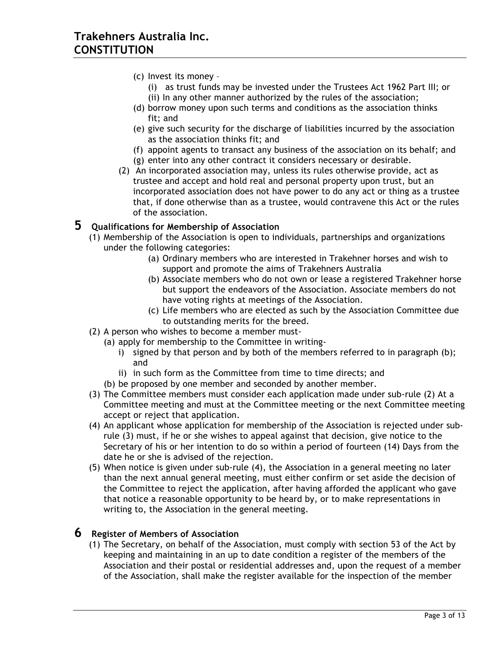- (c) Invest its money
	- (i) as trust funds may be invested under the Trustees Act 1962 Part III; or (ii) In any other manner authorized by the rules of the association;
- (d) borrow money upon such terms and conditions as the association thinks fit; and
- (e) give such security for the discharge of liabilities incurred by the association as the association thinks fit; and
- (f) appoint agents to transact any business of the association on its behalf; and
- (g) enter into any other contract it considers necessary or desirable.
- (2) An incorporated association may, unless its rules otherwise provide, act as trustee and accept and hold real and personal property upon trust, but an incorporated association does not have power to do any act or thing as a trustee that, if done otherwise than as a trustee, would contravene this Act or the rules of the association.

### **5 Qualifications for Membership of Association**

- (1) Membership of the Association is open to individuals, partnerships and organizations under the following categories:
	- (a) Ordinary members who are interested in Trakehner horses and wish to support and promote the aims of Trakehners Australia
	- (b) Associate members who do not own or lease a registered Trakehner horse but support the endeavors of the Association. Associate members do not have voting rights at meetings of the Association.
	- (c) Life members who are elected as such by the Association Committee due to outstanding merits for the breed.
- (2) A person who wishes to become a member must-
	- (a) apply for membership to the Committee in writing
		- i) signed by that person and by both of the members referred to in paragraph (b); and
		- ii) in such form as the Committee from time to time directs; and
	- (b) be proposed by one member and seconded by another member.
- (3) The Committee members must consider each application made under sub-rule (2) At a Committee meeting and must at the Committee meeting or the next Committee meeting accept or reject that application.
- (4) An applicant whose application for membership of the Association is rejected under subrule (3) must, if he or she wishes to appeal against that decision, give notice to the Secretary of his or her intention to do so within a period of fourteen (14) Days from the date he or she is advised of the rejection.
- (5) When notice is given under sub-rule (4), the Association in a general meeting no later than the next annual general meeting, must either confirm or set aside the decision of the Committee to reject the application, after having afforded the applicant who gave that notice a reasonable opportunity to be heard by, or to make representations in writing to, the Association in the general meeting.

#### **6 Register of Members of Association**

(1) The Secretary, on behalf of the Association, must comply with section 53 of the Act by keeping and maintaining in an up to date condition a register of the members of the Association and their postal or residential addresses and, upon the request of a member of the Association, shall make the register available for the inspection of the member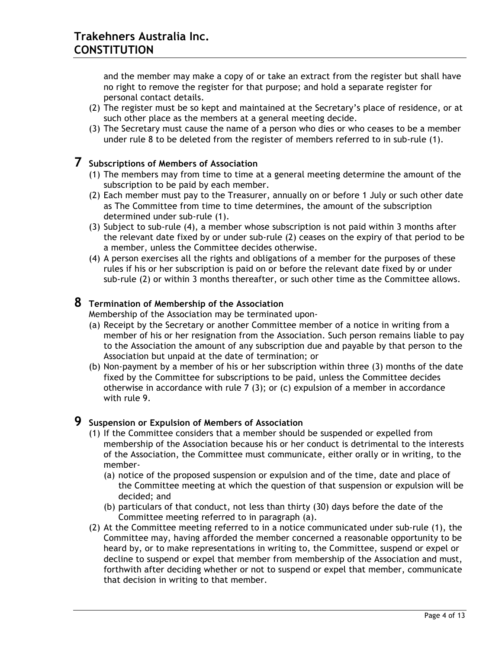and the member may make a copy of or take an extract from the register but shall have no right to remove the register for that purpose; and hold a separate register for personal contact details.

- (2) The register must be so kept and maintained at the Secretary's place of residence, or at such other place as the members at a general meeting decide.
- (3) The Secretary must cause the name of a person who dies or who ceases to be a member under rule 8 to be deleted from the register of members referred to in sub-rule (1).

#### **7 Subscriptions of Members of Association**

- (1) The members may from time to time at a general meeting determine the amount of the subscription to be paid by each member.
- (2) Each member must pay to the Treasurer, annually on or before 1 July or such other date as The Committee from time to time determines, the amount of the subscription determined under sub-rule (1).
- (3) Subject to sub-rule (4), a member whose subscription is not paid within 3 months after the relevant date fixed by or under sub-rule (2) ceases on the expiry of that period to be a member, unless the Committee decides otherwise.
- (4) A person exercises all the rights and obligations of a member for the purposes of these rules if his or her subscription is paid on or before the relevant date fixed by or under sub-rule (2) or within 3 months thereafter, or such other time as the Committee allows.

#### **8 Termination of Membership of the Association**

Membership of the Association may be terminated upon-

- (a) Receipt by the Secretary or another Committee member of a notice in writing from a member of his or her resignation from the Association. Such person remains liable to pay to the Association the amount of any subscription due and payable by that person to the Association but unpaid at the date of termination; or
- (b) Non-payment by a member of his or her subscription within three (3) months of the date fixed by the Committee for subscriptions to be paid, unless the Committee decides otherwise in accordance with rule 7 (3); or (c) expulsion of a member in accordance with rule 9.

#### **9 Suspension or Expulsion of Members of Association**

- (1) If the Committee considers that a member should be suspended or expelled from membership of the Association because his or her conduct is detrimental to the interests of the Association, the Committee must communicate, either orally or in writing, to the member-
	- (a) notice of the proposed suspension or expulsion and of the time, date and place of the Committee meeting at which the question of that suspension or expulsion will be decided; and
	- (b) particulars of that conduct, not less than thirty (30) days before the date of the Committee meeting referred to in paragraph (a).
- (2) At the Committee meeting referred to in a notice communicated under sub-rule (1), the Committee may, having afforded the member concerned a reasonable opportunity to be heard by, or to make representations in writing to, the Committee, suspend or expel or decline to suspend or expel that member from membership of the Association and must, forthwith after deciding whether or not to suspend or expel that member, communicate that decision in writing to that member.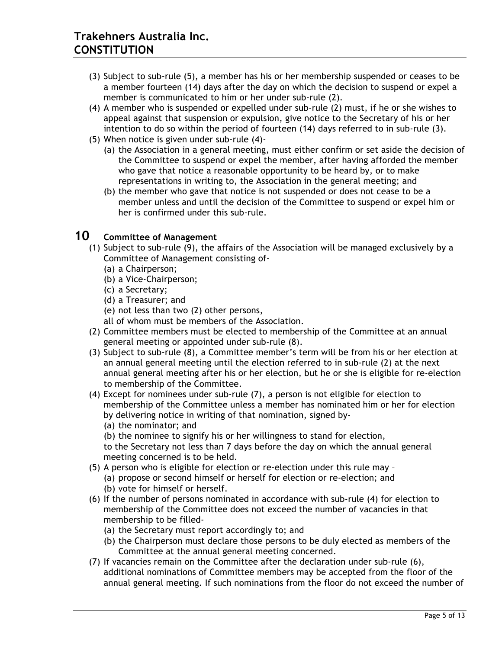- (3) Subject to sub-rule (5), a member has his or her membership suspended or ceases to be a member fourteen (14) days after the day on which the decision to suspend or expel a member is communicated to him or her under sub-rule (2).
- (4) A member who is suspended or expelled under sub-rule (2) must, if he or she wishes to appeal against that suspension or expulsion, give notice to the Secretary of his or her intention to do so within the period of fourteen (14) days referred to in sub-rule (3).
- (5) When notice is given under sub-rule (4)-
	- (a) the Association in a general meeting, must either confirm or set aside the decision of the Committee to suspend or expel the member, after having afforded the member who gave that notice a reasonable opportunity to be heard by, or to make representations in writing to, the Association in the general meeting; and
	- (b) the member who gave that notice is not suspended or does not cease to be a member unless and until the decision of the Committee to suspend or expel him or her is confirmed under this sub-rule.

# **10 Committee of Management**

- (1) Subject to sub-rule (9), the affairs of the Association will be managed exclusively by a Committee of Management consisting of-
	- (a) a Chairperson;
	- (b) a Vice-Chairperson;
	- (c) a Secretary;
	- (d) a Treasurer; and
	- (e) not less than two (2) other persons,
	- all of whom must be members of the Association.
- (2) Committee members must be elected to membership of the Committee at an annual general meeting or appointed under sub-rule (8).
- (3) Subject to sub-rule (8), a Committee member's term will be from his or her election at an annual general meeting until the election referred to in sub-rule (2) at the next annual general meeting after his or her election, but he or she is eligible for re-election to membership of the Committee.
- (4) Except for nominees under sub-rule (7), a person is not eligible for election to membership of the Committee unless a member has nominated him or her for election by delivering notice in writing of that nomination, signed by-
	- (a) the nominator; and

(b) the nominee to signify his or her willingness to stand for election,

to the Secretary not less than 7 days before the day on which the annual general meeting concerned is to be held.

- (5) A person who is eligible for election or re-election under this rule may (a) propose or second himself or herself for election or re-election; and (b) vote for himself or herself.
- (6) If the number of persons nominated in accordance with sub-rule (4) for election to membership of the Committee does not exceed the number of vacancies in that membership to be filled-
	- (a) the Secretary must report accordingly to; and
	- (b) the Chairperson must declare those persons to be duly elected as members of the Committee at the annual general meeting concerned.
- (7) If vacancies remain on the Committee after the declaration under sub-rule (6), additional nominations of Committee members may be accepted from the floor of the annual general meeting. If such nominations from the floor do not exceed the number of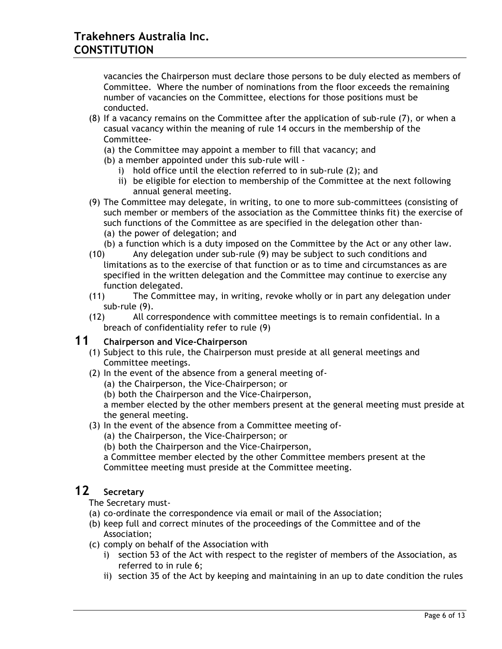vacancies the Chairperson must declare those persons to be duly elected as members of Committee. Where the number of nominations from the floor exceeds the remaining number of vacancies on the Committee, elections for those positions must be conducted.

- (8) If a vacancy remains on the Committee after the application of sub-rule (7), or when a casual vacancy within the meaning of rule 14 occurs in the membership of the Committee-
	- (a) the Committee may appoint a member to fill that vacancy; and
	- (b) a member appointed under this sub-rule will
		- i) hold office until the election referred to in sub-rule (2); and
		- ii) be eligible for election to membership of the Committee at the next following annual general meeting.
- (9) The Committee may delegate, in writing, to one to more sub-committees (consisting of such member or members of the association as the Committee thinks fit) the exercise of such functions of the Committee as are specified in the delegation other than- (a) the power of delegation; and
	- (b) a function which is a duty imposed on the Committee by the Act or any other law.
- (10) Any delegation under sub-rule (9) may be subject to such conditions and limitations as to the exercise of that function or as to time and circumstances as are specified in the written delegation and the Committee may continue to exercise any function delegated.
- (11) The Committee may, in writing, revoke wholly or in part any delegation under sub-rule (9).
- (12) All correspondence with committee meetings is to remain confidential. In a breach of confidentiality refer to rule (9)

#### **11 Chairperson and Vice-Chairperson**

- (1) Subject to this rule, the Chairperson must preside at all general meetings and Committee meetings.
- (2) In the event of the absence from a general meeting of-
	- (a) the Chairperson, the Vice-Chairperson; or
	- (b) both the Chairperson and the Vice-Chairperson,

a member elected by the other members present at the general meeting must preside at the general meeting.

- (3) In the event of the absence from a Committee meeting of-
	- (a) the Chairperson, the Vice-Chairperson; or

(b) both the Chairperson and the Vice-Chairperson,

a Committee member elected by the other Committee members present at the Committee meeting must preside at the Committee meeting.

## **12 Secretary**

The Secretary must-

- (a) co-ordinate the correspondence via email or mail of the Association;
- (b) keep full and correct minutes of the proceedings of the Committee and of the Association;
- (c) comply on behalf of the Association with
	- i) section 53 of the Act with respect to the register of members of the Association, as referred to in rule 6;
	- ii) section 35 of the Act by keeping and maintaining in an up to date condition the rules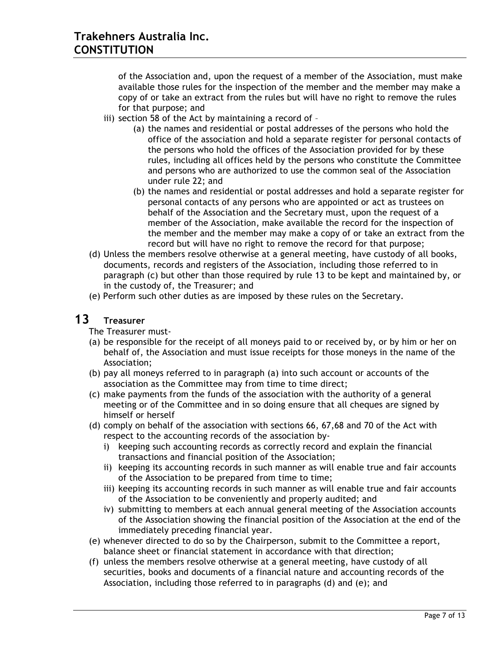of the Association and, upon the request of a member of the Association, must make available those rules for the inspection of the member and the member may make a copy of or take an extract from the rules but will have no right to remove the rules for that purpose; and

- iii) section 58 of the Act by maintaining a record of
	- (a) the names and residential or postal addresses of the persons who hold the office of the association and hold a separate register for personal contacts of the persons who hold the offices of the Association provided for by these rules, including all offices held by the persons who constitute the Committee and persons who are authorized to use the common seal of the Association under rule 22; and
	- (b) the names and residential or postal addresses and hold a separate register for personal contacts of any persons who are appointed or act as trustees on behalf of the Association and the Secretary must, upon the request of a member of the Association, make available the record for the inspection of the member and the member may make a copy of or take an extract from the record but will have no right to remove the record for that purpose;
- (d) Unless the members resolve otherwise at a general meeting, have custody of all books, documents, records and registers of the Association, including those referred to in paragraph (c) but other than those required by rule 13 to be kept and maintained by, or in the custody of, the Treasurer; and
- (e) Perform such other duties as are imposed by these rules on the Secretary.

## **13 Treasurer**

The Treasurer must-

- (a) be responsible for the receipt of all moneys paid to or received by, or by him or her on behalf of, the Association and must issue receipts for those moneys in the name of the Association;
- (b) pay all moneys referred to in paragraph (a) into such account or accounts of the association as the Committee may from time to time direct;
- (c) make payments from the funds of the association with the authority of a general meeting or of the Committee and in so doing ensure that all cheques are signed by himself or herself
- (d) comply on behalf of the association with sections 66, 67,68 and 70 of the Act with respect to the accounting records of the association by
	- i) keeping such accounting records as correctly record and explain the financial transactions and financial position of the Association;
	- ii) keeping its accounting records in such manner as will enable true and fair accounts of the Association to be prepared from time to time;
	- iii) keeping its accounting records in such manner as will enable true and fair accounts of the Association to be conveniently and properly audited; and
	- iv) submitting to members at each annual general meeting of the Association accounts of the Association showing the financial position of the Association at the end of the immediately preceding financial year.
- (e) whenever directed to do so by the Chairperson, submit to the Committee a report, balance sheet or financial statement in accordance with that direction;
- (f) unless the members resolve otherwise at a general meeting, have custody of all securities, books and documents of a financial nature and accounting records of the Association, including those referred to in paragraphs (d) and (e); and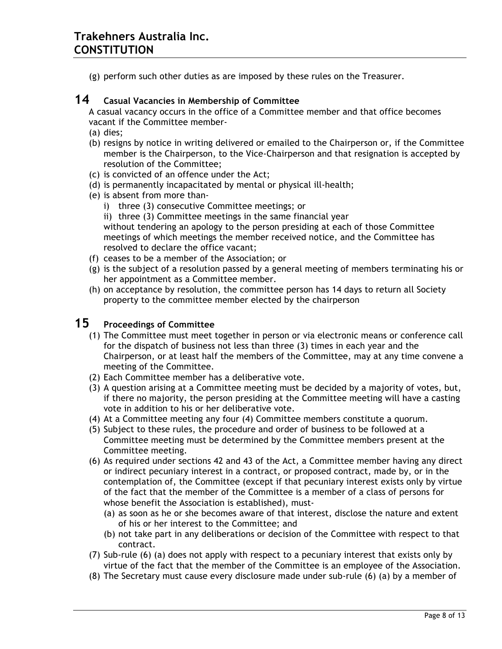(g) perform such other duties as are imposed by these rules on the Treasurer.

## **14 Casual Vacancies in Membership of Committee**

A casual vacancy occurs in the office of a Committee member and that office becomes vacant if the Committee member-

- (a) dies;
- (b) resigns by notice in writing delivered or emailed to the Chairperson or, if the Committee member is the Chairperson, to the Vice-Chairperson and that resignation is accepted by resolution of the Committee;
- (c) is convicted of an offence under the Act;
- (d) is permanently incapacitated by mental or physical ill-health;
- (e) is absent from more than
	- i) three (3) consecutive Committee meetings; or
	- ii) three (3) Committee meetings in the same financial year

without tendering an apology to the person presiding at each of those Committee meetings of which meetings the member received notice, and the Committee has resolved to declare the office vacant;

- (f) ceases to be a member of the Association; or
- (g) is the subject of a resolution passed by a general meeting of members terminating his or her appointment as a Committee member.
- (h) on acceptance by resolution, the committee person has 14 days to return all Society property to the committee member elected by the chairperson

# **15 Proceedings of Committee**

- (1) The Committee must meet together in person or via electronic means or conference call for the dispatch of business not less than three (3) times in each year and the Chairperson, or at least half the members of the Committee, may at any time convene a meeting of the Committee.
- (2) Each Committee member has a deliberative vote.
- (3) A question arising at a Committee meeting must be decided by a majority of votes, but, if there no majority, the person presiding at the Committee meeting will have a casting vote in addition to his or her deliberative vote.
- (4) At a Committee meeting any four (4) Committee members constitute a quorum.
- (5) Subject to these rules, the procedure and order of business to be followed at a Committee meeting must be determined by the Committee members present at the Committee meeting.
- (6) As required under sections 42 and 43 of the Act, a Committee member having any direct or indirect pecuniary interest in a contract, or proposed contract, made by, or in the contemplation of, the Committee (except if that pecuniary interest exists only by virtue of the fact that the member of the Committee is a member of a class of persons for whose benefit the Association is established), must-
	- (a) as soon as he or she becomes aware of that interest, disclose the nature and extent of his or her interest to the Committee; and
	- (b) not take part in any deliberations or decision of the Committee with respect to that contract.
- (7) Sub-rule (6) (a) does not apply with respect to a pecuniary interest that exists only by virtue of the fact that the member of the Committee is an employee of the Association.
- (8) The Secretary must cause every disclosure made under sub-rule (6) (a) by a member of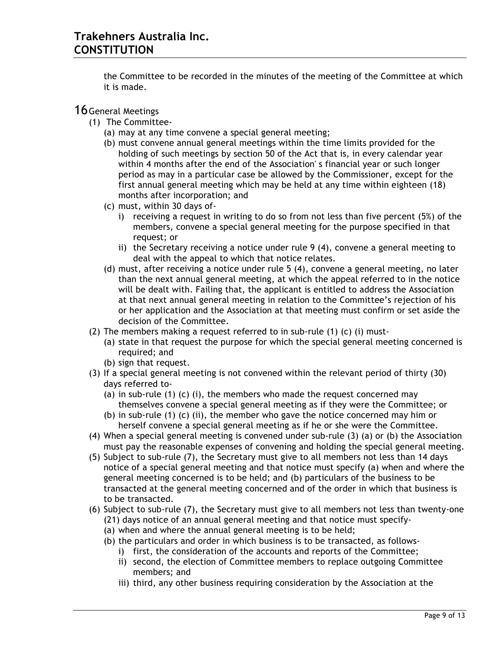the Committee to be recorded in the minutes of the meeting of the Committee at which it is made.

#### 16 General Meetings

- (1) The Committee-
	- (a) may at any time convene a special general meeting;
	- (b) must convene annual general meetings within the time limits provided for the holding of such meetings by section 50 of the Act that is, in every calendar year within 4 months after the end of the Association' s financial year or such longer period as may in a particular case be allowed by the Commissioner, except for the first annual general meeting which may be held at any time within eighteen (18) months after incorporation; and
	- (c) must, within 30 days of
		- i) receiving a request in writing to do so from not less than five percent (5%) of the members, convene a special general meeting for the purpose specified in that request; or
		- ii) the Secretary receiving a notice under rule 9 (4), convene a general meeting to deal with the appeal to which that notice relates.
	- (d) must, after receiving a notice under rule 5 (4), convene a general meeting, no later than the next annual general meeting, at which the appeal referred to in the notice will be dealt with. Failing that, the applicant is entitled to address the Association at that next annual general meeting in relation to the Committee's rejection of his or her application and the Association at that meeting must confirm or set aside the decision of the Committee.
- (2) The members making a request referred to in sub-rule (1) (c) (i) must-
	- (a) state in that request the purpose for which the special general meeting concerned is required; and
	- (b) sign that request.
- (3) If a special general meeting is not convened within the relevant period of thirty (30) days referred to-
	- (a) in sub-rule (1) (c) (i), the members who made the request concerned may themselves convene a special general meeting as if they were the Committee; or
	- (b) in sub-rule (1) (c) (ii), the member who gave the notice concerned may him or herself convene a special general meeting as if he or she were the Committee.
- (4) When a special general meeting is convened under sub-rule (3) (a) or (b) the Association must pay the reasonable expenses of convening and holding the special general meeting.
- (5) Subject to sub-rule (7), the Secretary must give to all members not less than 14 days notice of a special general meeting and that notice must specify (a) when and where the general meeting concerned is to be held; and (b) particulars of the business to be transacted at the general meeting concerned and of the order in which that business is to be transacted.
- (6) Subject to sub-rule (7), the Secretary must give to all members not less than twenty-one (21) days notice of an annual general meeting and that notice must specify-
	- (a) when and where the annual general meeting is to be held;
	- (b) the particulars and order in which business is to be transacted, as follows
		- i) first, the consideration of the accounts and reports of the Committee;
		- ii) second, the election of Committee members to replace outgoing Committee members; and
		- iii) third, any other business requiring consideration by the Association at the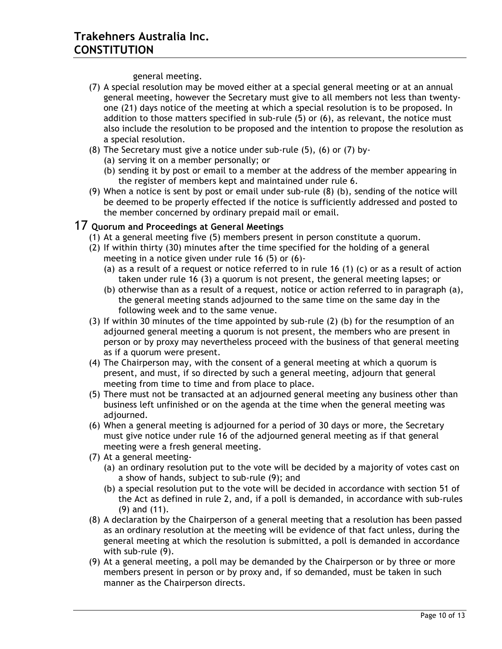general meeting.

- (7) A special resolution may be moved either at a special general meeting or at an annual general meeting, however the Secretary must give to all members not less than twentyone (21) days notice of the meeting at which a special resolution is to be proposed. In addition to those matters specified in sub-rule (5) or (6), as relevant, the notice must also include the resolution to be proposed and the intention to propose the resolution as a special resolution.
- (8) The Secretary must give a notice under sub-rule (5), (6) or (7) by-
	- (a) serving it on a member personally; or
	- (b) sending it by post or email to a member at the address of the member appearing in the register of members kept and maintained under rule 6.
- (9) When a notice is sent by post or email under sub-rule (8) (b), sending of the notice will be deemed to be properly effected if the notice is sufficiently addressed and posted to the member concerned by ordinary prepaid mail or email.

## 17 **Quorum and Proceedings at General Meetings**

- (1) At a general meeting five (5) members present in person constitute a quorum.
- (2) If within thirty (30) minutes after the time specified for the holding of a general meeting in a notice given under rule 16 (5) or (6)-
	- (a) as a result of a request or notice referred to in rule 16 (1) (c) or as a result of action taken under rule 16 (3) a quorum is not present, the general meeting lapses; or
	- (b) otherwise than as a result of a request, notice or action referred to in paragraph (a), the general meeting stands adjourned to the same time on the same day in the following week and to the same venue.
- (3) If within 30 minutes of the time appointed by sub-rule (2) (b) for the resumption of an adjourned general meeting a quorum is not present, the members who are present in person or by proxy may nevertheless proceed with the business of that general meeting as if a quorum were present.
- (4) The Chairperson may, with the consent of a general meeting at which a quorum is present, and must, if so directed by such a general meeting, adjourn that general meeting from time to time and from place to place.
- (5) There must not be transacted at an adjourned general meeting any business other than business left unfinished or on the agenda at the time when the general meeting was adjourned.
- (6) When a general meeting is adjourned for a period of 30 days or more, the Secretary must give notice under rule 16 of the adjourned general meeting as if that general meeting were a fresh general meeting.
- (7) At a general meeting-
	- (a) an ordinary resolution put to the vote will be decided by a majority of votes cast on a show of hands, subject to sub-rule (9); and
	- (b) a special resolution put to the vote will be decided in accordance with section 51 of the Act as defined in rule 2, and, if a poll is demanded, in accordance with sub-rules (9) and (11).
- (8) A declaration by the Chairperson of a general meeting that a resolution has been passed as an ordinary resolution at the meeting will be evidence of that fact unless, during the general meeting at which the resolution is submitted, a poll is demanded in accordance with sub-rule (9).
- (9) At a general meeting, a poll may be demanded by the Chairperson or by three or more members present in person or by proxy and, if so demanded, must be taken in such manner as the Chairperson directs.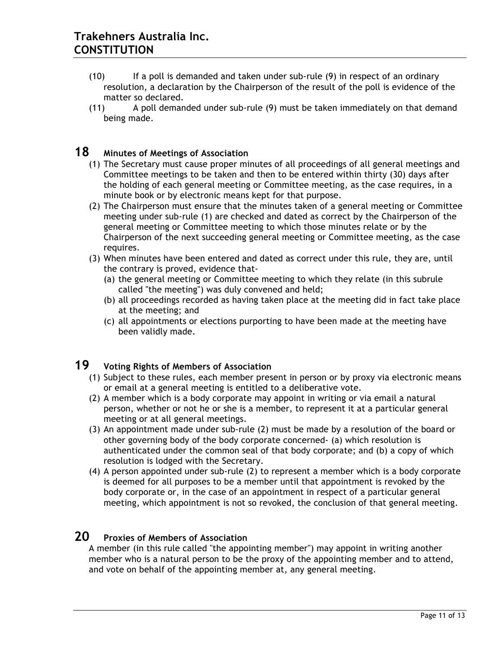- (10) If a poll is demanded and taken under sub-rule (9) in respect of an ordinary resolution, a declaration by the Chairperson of the result of the poll is evidence of the matter so declared.
- (11) A poll demanded under sub-rule (9) must be taken immediately on that demand being made.

# **18 Minutes of Meetings of Association**

- (1) The Secretary must cause proper minutes of all proceedings of all general meetings and Committee meetings to be taken and then to be entered within thirty (30) days after the holding of each general meeting or Committee meeting, as the case requires, in a minute book or by electronic means kept for that purpose.
- (2) The Chairperson must ensure that the minutes taken of a general meeting or Committee meeting under sub-rule (1) are checked and dated as correct by the Chairperson of the general meeting or Committee meeting to which those minutes relate or by the Chairperson of the next succeeding general meeting or Committee meeting, as the case requires.
- (3) When minutes have been entered and dated as correct under this rule, they are, until the contrary is proved, evidence that-
	- (a) the general meeting or Committee meeting to which they relate (in this subrule called "the meeting") was duly convened and held;
	- (b) all proceedings recorded as having taken place at the meeting did in fact take place at the meeting; and
	- (c) all appointments or elections purporting to have been made at the meeting have been validly made.

# **19 Voting Rights of Members of Association**

- (1) Subject to these rules, each member present in person or by proxy via electronic means or email at a general meeting is entitled to a deliberative vote.
- (2) A member which is a body corporate may appoint in writing or via email a natural person, whether or not he or she is a member, to represent it at a particular general meeting or at all general meetings.
- (3) An appointment made under sub-rule (2) must be made by a resolution of the board or other governing body of the body corporate concerned- (a) which resolution is authenticated under the common seal of that body corporate; and (b) a copy of which resolution is lodged with the Secretary.
- (4) A person appointed under sub-rule (2) to represent a member which is a body corporate is deemed for all purposes to be a member until that appointment is revoked by the body corporate or, in the case of an appointment in respect of a particular general meeting, which appointment is not so revoked, the conclusion of that general meeting.

# **20 Proxies of Members of Association**

A member (in this rule called "the appointing member") may appoint in writing another member who is a natural person to be the proxy of the appointing member and to attend, and vote on behalf of the appointing member at, any general meeting.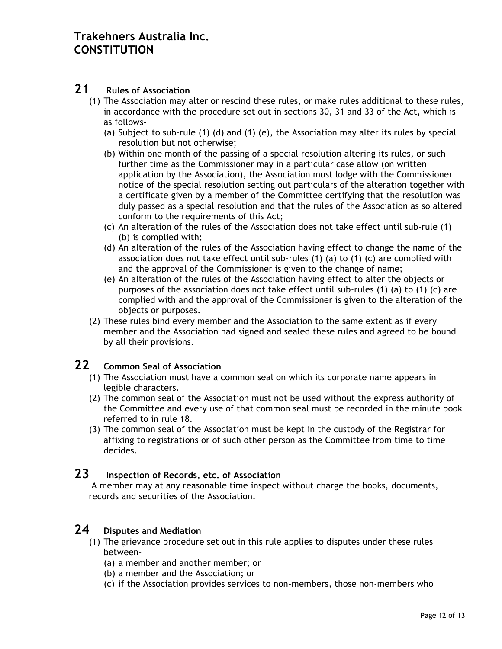## **21 Rules of Association**

- (1) The Association may alter or rescind these rules, or make rules additional to these rules, in accordance with the procedure set out in sections 30, 31 and 33 of the Act, which is as follows-
	- (a) Subject to sub-rule (1) (d) and (1) (e), the Association may alter its rules by special resolution but not otherwise;
	- (b) Within one month of the passing of a special resolution altering its rules, or such further time as the Commissioner may in a particular case allow (on written application by the Association), the Association must lodge with the Commissioner notice of the special resolution setting out particulars of the alteration together with a certificate given by a member of the Committee certifying that the resolution was duly passed as a special resolution and that the rules of the Association as so altered conform to the requirements of this Act;
	- (c) An alteration of the rules of the Association does not take effect until sub-rule (1) (b) is complied with;
	- (d) An alteration of the rules of the Association having effect to change the name of the association does not take effect until sub-rules (1) (a) to (1) (c) are complied with and the approval of the Commissioner is given to the change of name;
	- (e) An alteration of the rules of the Association having effect to alter the objects or purposes of the association does not take effect until sub-rules (1) (a) to (1) (c) are complied with and the approval of the Commissioner is given to the alteration of the objects or purposes.
- (2) These rules bind every member and the Association to the same extent as if every member and the Association had signed and sealed these rules and agreed to be bound by all their provisions.

# **22 Common Seal of Association**

- (1) The Association must have a common seal on which its corporate name appears in legible characters.
- (2) The common seal of the Association must not be used without the express authority of the Committee and every use of that common seal must be recorded in the minute book referred to in rule 18.
- (3) The common seal of the Association must be kept in the custody of the Registrar for affixing to registrations or of such other person as the Committee from time to time decides.

### **23 Inspection of Records, etc. of Association**

A member may at any reasonable time inspect without charge the books, documents, records and securities of the Association.

### **24 Disputes and Mediation**

- (1) The grievance procedure set out in this rule applies to disputes under these rules between-
	- (a) a member and another member; or
	- (b) a member and the Association; or
	- (c) if the Association provides services to non-members, those non-members who